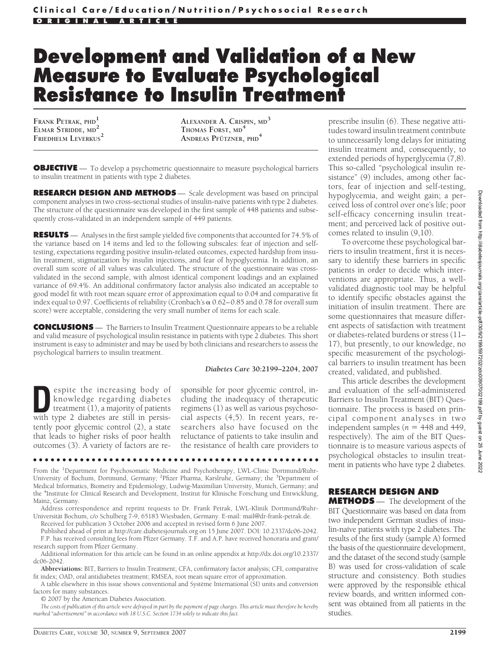# **Development and Validation of a New Measure to Evaluate Psychological Resistance to Insulin Treatment**

**FRANK PETRAK, PHD<sup>1</sup> ELMAR STRIDDE, MD<sup>2</sup> FRIEDHELM LEVERKUS<sup>2</sup>**

**ALEXANDER A. CRISPIN, MD<sup>3</sup> THOMAS FORST, MD<sup>4</sup> ANDREAS PFUTZNER ¨ , PHD<sup>4</sup>**

**OBJECTIVE** — To develop a psychometric questionnaire to measure psychological barriers to insulin treatment in patients with type 2 diabetes.

**RESEARCH DESIGN AND METHODS** — Scale development was based on principal component analyses in two cross-sectional studies of insulin-naı̈ve patients with type 2 diabetes. The structure of the questionnaire was developed in the first sample of 448 patients and subsequently cross-validated in an independent sample of 449 patients.

**RESULTS** — Analyses in the first sample yielded five components that accounted for 74.5% of the variance based on 14 items and led to the following subscales: fear of injection and selftesting, expectations regarding positive insulin-related outcomes, expected hardship from insulin treatment, stigmatization by insulin injections, and fear of hypoglycemia. In addition, an overall sum score of all values was calculated. The structure of the questionnaire was crossvalidated in the second sample, with almost identical component loadings and an explained variance of 69.4%. An additional confirmatory factor analysis also indicated an acceptable to good model fit with root mean square error of approximation equal to 0.04 and comparative fit index equal to 0.97. Coefficients of reliability (Cronbach's  $\alpha$  0.62-0.85 and 0.78 for overall sum score) were acceptable, considering the very small number of items for each scale.

**CONCLUSIONS** — The Barriers to Insulin Treatment Questionnaire appears to be a reliable and valid measure of psychological insulin resistance in patients with type 2 diabetes. This short instrument is easy to administer and may be used by both clinicians and researchers to assess the psychological barriers to insulin treatment.

#### *Diabetes Care* **30:2199–2204, 2007**

**D**espite the increasing body of knowledge regarding diabetes treatment (1), a majority of patients with type 2 diabetes are still in persisknowledge regarding diabetes treatment (1), a majority of patients with type 2 diabetes are still in persistently poor glycemic control (2), a state that leads to higher risks of poor health outcomes (3). A variety of factors are re-

sponsible for poor glycemic control, including the inadequacy of therapeutic regimens (1) as well as various psychosocial aspects (4,5). In recent years, researchers also have focused on the reluctance of patients to take insulin and the resistance of health care providers to

From the <sup>1</sup>Department for Psychosomatic Medicine and Psychotherapy, LWL-Clinic Dortmund/Ruhr-University of Bochum, Dortmund, Germany; <sup>2</sup>Pfizer Pharma, Karslruhe, Germany; the <sup>3</sup>Department of Medical Informatics, Biometry and Epidemiology, Ludwig-Maximilian University, Munich, Germany; and the <sup>4</sup>Institute for Clinical Research and Development, Institut für Klinische Forschung und Entwicklung, Mainz, Germany.

●●●●●●●●●●●●●●●●●●●●●●●●●●●●●●●●●●●●●●●●●●●●●●●●●

Address correspondence and reprint requests to Dr. Frank Petrak, LWL-Klinik Dortmund/Ruhr-Universität Bochum, c/o Schulberg 7-9, 65183 Wiesbaden, Germany. E-mail: mail@dr-frank-petrak.de.

Received for publication 3 October 2006 and accepted in revised form 6 June 2007. Published ahead of print at http://care.diabetesjournals.org on 15 June 2007. DOI: 10.2337/dc06-2042.

F.P. has received consulting fees from Pfizer Germany. T.F. and A.P. have received honoraria and grant/ research support from Pfizer Germany.

Additional information for this article can be found in an online appendix at http://dx.doi.org/10.2337/ dc06-2042.

**Abbreviations:** BIT, Barriers to Insulin Treatment; CFA, confirmatory factor analysis; CFI, comparative fit index; OAD, oral antidiabetes treatment; RMSEA, root mean square error of approximation.

A table elsewhere in this issue shows conventional and Système International (SI) units and conversion factors for many substances.

© 2007 by the American Diabetes Association.

*The costs of publication of this article were defrayed in part by the payment of page charges. This article must therefore be hereby marked "advertisement" in accordance with 18 U.S.C. Section 1734 solely to indicate this fact.*

prescribe insulin (6). These negative attitudes toward insulin treatment contribute to unnecessarily long delays for initiating insulin treatment and, consequently, to extended periods of hyperglycemia (7,8). This so-called "psychological insulin resistance" (9) includes, among other factors, fear of injection and self-testing, hypoglycemia, and weight gain; a perceived loss of control over one's life; poor self-efficacy concerning insulin treatment; and perceived lack of positive outcomes related to insulin (9,10).

To overcome these psychological barriers to insulin treatment, first it is necessary to identify these barriers in specific patients in order to decide which interventions are appropriate. Thus, a wellvalidated diagnostic tool may be helpful to identify specific obstacles against the initiation of insulin treatment. There are some questionnaires that measure different aspects of satisfaction with treatment or diabetes-related burdens or stress (11– 17), but presently, to our knowledge, no specific measurement of the psychological barriers to insulin treatment has been created, validated, and published.

This article describes the development and evaluation of the self-administered Barriers to Insulin Treatment (BIT) Questionnaire. The process is based on principal component analyses in two independent samples ( $n = 448$  and  $449$ , respectively). The aim of the BIT Questionnaire is to measure various aspects of psychological obstacles to insulin treatment in patients who have type 2 diabetes.

## **RESEARCH DESIGN AND**

**METHODS** — The development of the BIT Questionnaire was based on data from two independent German studies of insulin-naïve patients with type 2 diabetes. The results of the first study (sample A) formed the basis of the questionnaire development, and the dataset of the second study (sample B) was used for cross-validation of scale structure and consistency. Both studies were approved by the responsible ethical review boards, and written informed consent was obtained from all patients in the studies.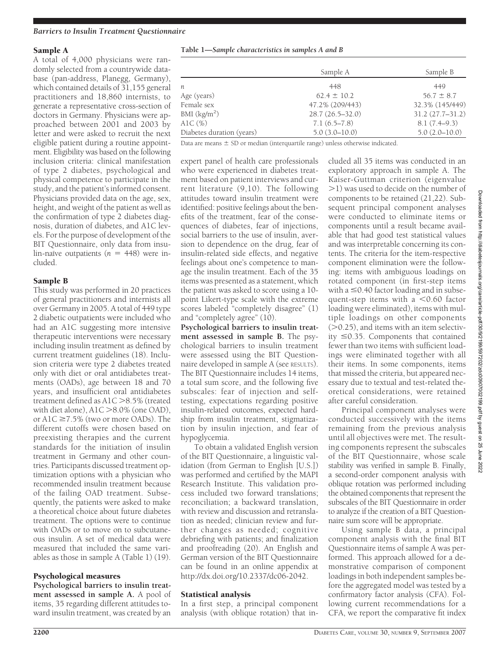#### *Barriers to Insulin Treatment Questionnaire*

#### Sample A

A total of 4,000 physicians were randomly selected from a countrywide database (pan-address, Planegg, Germany), which contained details of 31,155 general practitioners and 18,860 internists, to generate a representative cross-section of doctors in Germany. Physicians were approached between 2001 and 2003 by letter and were asked to recruit the next eligible patient during a routine appointment. Eligibility was based on the following inclusion criteria: clinical manifestation of type 2 diabetes, psychological and physical competence to participate in the study, and the patient's informed consent. Physicians provided data on the age, sex, height, and weight of the patient as well as the confirmation of type 2 diabetes diagnosis, duration of diabetes, and A1C levels. For the purpose of development of the BIT Questionnaire, only data from insu- $\lim$ -naive outpatients ( $n = 448$ ) were included.

#### Sample B

This study was performed in 20 practices of general practitioners and internists all over Germany in 2005. A total of 449 type 2 diabetic outpatients were included who had an A1C suggesting more intensive therapeutic interventions were necessary including insulin treatment as defined by current treatment guidelines (18). Inclusion criteria were type 2 diabetes treated only with diet or oral antidiabetes treatments (OADs), age between 18 and 70 years, and insufficient oral antidiabetes treatment defined as  $A1C > 8.5%$  (treated with diet alone),  $A1C > 8.0\%$  (one OAD), or A1 $C \ge 7.5\%$  (two or more OADs). The different cutoffs were chosen based on preexisting therapies and the current standards for the initiation of insulin treatment in Germany and other countries. Participants discussed treatment optimization options with a physician who recommended insulin treatment because of the failing OAD treatment. Subsequently, the patients were asked to make a theoretical choice about future diabetes treatment. The options were to continue with OADs or to move on to subcutaneous insulin. A set of medical data were measured that included the same variables as those in sample A (Table 1) (19).

#### Psychological measures

**Psychological barriers to insulin treatment assessed in sample A.** A pool of items, 35 regarding different attitudes toward insulin treatment, was created by an

#### **Table 1—***Sample characteristics in samples A and B*

|                           | Sample A            | Sample B            |  |  |
|---------------------------|---------------------|---------------------|--|--|
| n                         | 448                 | 449                 |  |  |
| Age (years)               | $62.4 \pm 10.2$     | $56.7 \pm 8.7$      |  |  |
| Female sex                | 47.2% (209/443)     | 32.3% (145/449)     |  |  |
| BMI $(kg/m2)$             | $28.7(26.5 - 32.0)$ | $31.2(27.7 - 31.2)$ |  |  |
| A1C (%)                   | $7.1(6.5 - 7.8)$    | $8.1(7.4-9.3)$      |  |  |
| Diabetes duration (years) | $5.0(3.0 - 10.0)$   | $5.0(2.0-10.0)$     |  |  |

Data are means  $\pm$  SD or median (interquartile range) unless otherwise indicated.

expert panel of health care professionals who were experienced in diabetes treatment based on patient interviews and current literature (9,10). The following attitudes toward insulin treatment were identified: positive feelings about the benefits of the treatment, fear of the consequences of diabetes, fear of injections, social barriers to the use of insulin, aversion to dependence on the drug, fear of insulin-related side effects, and negative feelings about one's competence to manage the insulin treatment. Each of the 35 items was presented as a statement, which the patient was asked to score using a 10 point Likert-type scale with the extreme scores labeled "completely disagree" (1) and "completely agree" (10).

**Psychological barriers to insulin treatment assessed in sample B.** The psychological barriers to insulin treatment were assessed using the BIT Questionnaire developed in sample A (see RESULTS). The BIT Questionnaire includes 14 items, a total sum score, and the following five subscales: fear of injection and selftesting, expectations regarding positive insulin-related outcomes, expected hardship from insulin treatment, stigmatization by insulin injection, and fear of hypoglycemia.

To obtain a validated English version of the BIT Questionnaire, a linguistic validation (from German to English [U.S.]) was performed and certified by the MAPI Research Institute. This validation process included two forward translations; reconciliation; a backward translation, with review and discussion and retranslation as needed; clinician review and further changes as needed; cognitive debriefing with patients; and finalization and proofreading (20). An English and German version of the BIT Questionnaire can be found in an online appendix at http://dx.doi.org/10.2337/dc06-2042.

#### Statistical analysis

In a first step, a principal component analysis (with oblique rotation) that included all 35 items was conducted in an exploratory approach in sample A. The Kaiser-Guttman criterion (eigenvalue 1) was used to decide on the number of components to be retained (21,22). Subsequent principal component analyses were conducted to eliminate items or components until a result became available that had good test statistical values and was interpretable concerning its contents. The criteria for the item-respective component elimination were the following: items with ambiguous loadings on rotated component (in first-step items with a  $\leq$  0.40 factor loading and in subsequent-step items with a  $\leq 0.60$  factor loading were eliminated), items with multiple loadings on other components  $(0.25)$ , and items with an item selectivity  $\leq$ 0.35. Components that contained fewer than two items with sufficient loadings were eliminated together with all their items. In some components, items that missed the criteria, but appeared necessary due to textual and test-related theoretical considerations, were retained after careful consideration.

Principal component analyses were conducted successively with the items remaining from the previous analysis until all objectives were met. The resulting components represent the subscales of the BIT Questionnaire, whose scale stability was verified in sample B. Finally, a second-order component analysis with oblique rotation was performed including the obtained components that represent the subscales of the BIT Questionnaire in order to analyze if the creation of a BIT Questionnaire sum score will be appropriate.

Using sample B data, a principal component analysis with the final BIT Questionnaire items of sample A was performed. This approach allowed for a demonstrative comparison of component loadings in both independent samples before the aggregated model was tested by a confirmatory factor analysis (CFA). Following current recommendations for a CFA, we report the comparative fit index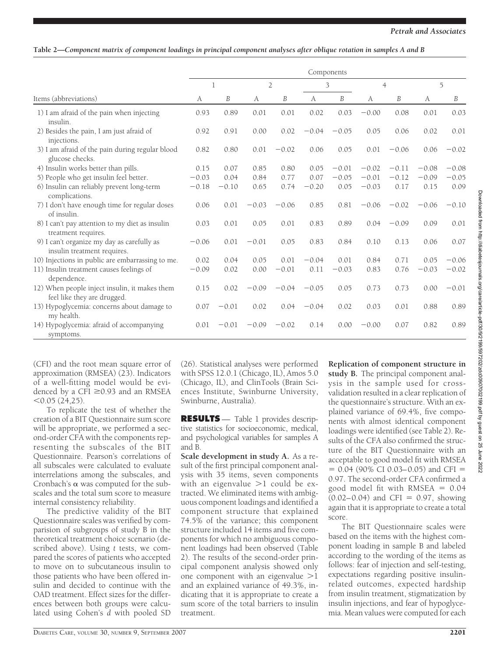### **Table 2—***Component matrix of component loadings in principal component analyses after oblique rotation in samples A and B*

|                                                                              | Components |         |         |                |         |         |         |                |         |         |
|------------------------------------------------------------------------------|------------|---------|---------|----------------|---------|---------|---------|----------------|---------|---------|
|                                                                              |            | 1       |         | $\overline{2}$ | 3       |         |         | $\overline{4}$ |         | 5       |
| Items (abbreviations)                                                        | A          | В       | A       | B              | А       | B       | A       | B              | A       | В       |
| 1) I am afraid of the pain when injecting<br>insulin.                        | 0.93       | 0.89    | 0.01    | 0.01           | 0.02    | 0.03    | $-0.00$ | 0.08           | 0.01    | 0.03    |
| 2) Besides the pain, I am just afraid of<br>injections.                      | 0.92       | 0.91    | 0.00    | 0.02           | $-0.04$ | $-0.05$ | 0.05    | 0.06           | 0.02    | 0.01    |
| 3) I am afraid of the pain during regular blood<br>glucose checks.           | 0.82       | 0.80    | 0.01    | $-0.02$        | 0.06    | 0.05    | 0.01    | $-0.06$        | 0.06    | $-0.02$ |
| 4) Insulin works better than pills.                                          | 0.15       | 0.07    | 0.85    | 0.80           | 0.05    | $-0.01$ | $-0.02$ | $-0.11$        | $-0.08$ | $-0.08$ |
| 5) People who get insulin feel better.                                       | $-0.03$    | 0.04    | 0.84    | 0.77           | 0.07    | $-0.05$ | $-0.01$ | $-0.12$        | $-0.09$ | $-0.05$ |
| 6) Insulin can reliably prevent long-term<br>complications.                  | $-0.18$    | $-0.10$ | 0.65    | 0.74           | $-0.20$ | 0.05    | $-0.03$ | 0.17           | 0.15    | 0.09    |
| 7) I don't have enough time for regular doses<br>of insulin.                 | 0.06       | 0.01    | $-0.03$ | $-0.06$        | 0.85    | 0.81    | $-0.06$ | $-0.02$        | $-0.06$ | $-0.10$ |
| 8) I can't pay attention to my diet as insulin<br>treatment requires.        | 0.03       | 0.01    | 0.05    | 0.01           | 0.83    | 0.89    | 0.04    | $-0.09$        | 0.09    | 0.01    |
| 9) I can't organize my day as carefully as<br>insulin treatment requires.    | $-0.06$    | 0.01    | $-0.01$ | 0.05           | 0.83    | 0.84    | 0.10    | 0.13           | 0.06    | 0.07    |
| 10) Injections in public are embarrassing to me.                             | 0.02       | 0.04    | 0.05    | 0.01           | $-0.04$ | 0.01    | 0.84    | 0.71           | 0.05    | $-0.06$ |
| 11) Insulin treatment causes feelings of<br>dependence.                      | $-0.09$    | 0.02    | 0.00    | $-0.01$        | 0.11    | $-0.03$ | 0.83    | 0.76           | $-0.03$ | $-0.02$ |
| 12) When people inject insulin, it makes them<br>feel like they are drugged. | 0.15       | 0.02    | $-0.09$ | $-0.04$        | $-0.05$ | 0.05    | 0.73    | 0.73           | 0.00    | $-0.01$ |
| 13) Hypoglycemia: concerns about damage to<br>my health.                     | 0.07       | $-0.01$ | 0.02    | 0.04           | $-0.04$ | 0.02    | 0.03    | 0.01           | 0.88    | 0.89    |
| 14) Hypoglycemia: afraid of accompanying<br>symptoms.                        | 0.01       | $-0.01$ | $-0.09$ | $-0.02$        | 0.14    | 0.00    | $-0.00$ | 0.07           | 0.82    | 0.89    |

(CFI) and the root mean square error of approximation (RMSEA) (23). Indicators of a well-fitting model would be evidenced by a CFI  $\geq$ 0.93 and an RMSEA  $< 0.05$  (24.25).

To replicate the test of whether the creation of a BIT Questionnaire sum score will be appropriate, we performed a second-order CFA with the components representing the subscales of the BIT Questionnaire. Pearson's correlations of all subscales were calculated to evaluate interrelations among the subscales, and Cronbach's  $\alpha$  was computed for the subscales and the total sum score to measure internal consistency reliability.

The predictive validity of the BIT Questionnaire scales was verified by comparision of subgroups of study B in the theoretical treatment choice scenario (described above). Using *t* tests, we compared the scores of patients who accepted to move on to subcutaneous insulin to those patients who have been offered insulin and decided to continue with the OAD treatment. Effect sizes for the differences between both groups were calculated using Cohen's *d* with pooled SD (26). Statistical analyses were performed with SPSS 12.0.1 (Chicago, IL), Amos 5.0 (Chicago, IL), and ClinTools (Brain Sciences Institute, Swinburne University, Swinburne, Australia).

**RESULTS** — Table 1 provides descriptive statistics for socioeconomic, medical, and psychological variables for samples A and B.

**Scale development in study A.** As a result of the first principal component analysis with 35 items, seven components with an eigenvalue  $>1$  could be extracted. We eliminated items with ambiguous component loadings and identified a component structure that explained 74.5% of the variance; this component structure included 14 items and five components for which no ambiguous component loadings had been observed (Table 2). The results of the second-order principal component analysis showed only one component with an eigenvalue  $>1$ and an explained variance of 49.3%, indicating that it is appropriate to create a sum score of the total barriers to insulin treatment.

**Replication of component structure in study B.** The principal component analysis in the sample used for crossvalidation resulted in a clear replication of the questionnaire's structure. With an explained variance of 69.4%, five components with almost identical component loadings were identified (see Table 2). Results of the CFA also confirmed the structure of the BIT Questionnaire with an acceptable to good model fit with RMSEA  $= 0.04$  (90% CI 0.03–0.05) and CFI  $=$ 0.97. The second-order CFA confirmed a good model fit with  $RMSEA = 0.04$  $(0.02 - 0.04)$  and CFI = 0.97, showing again that it is appropriate to create a total score.

The BIT Questionnaire scales were based on the items with the highest component loading in sample B and labeled according to the wording of the items as follows: fear of injection and self-testing, expectations regarding positive insulinrelated outcomes, expected hardship from insulin treatment, stigmatization by insulin injections, and fear of hypoglycemia. Mean values were computed for each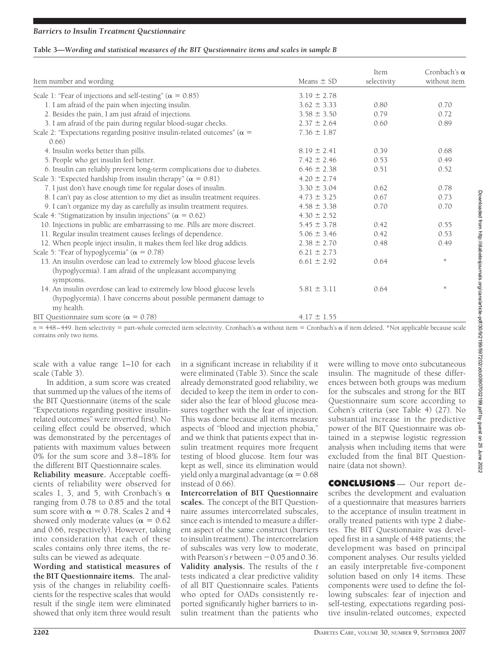#### **Table 3—***Wording and statistical measures of the BIT Questionnaire items and scales in sample B*

| Item number and wording                                                                                                                           | Means $\pm$ SD  | Item<br>selectivity | Cronbach's $\alpha$<br>without item |
|---------------------------------------------------------------------------------------------------------------------------------------------------|-----------------|---------------------|-------------------------------------|
| Scale 1: "Fear of injections and self-testing" ( $\alpha = 0.85$ )                                                                                | $3.19 \pm 2.78$ |                     |                                     |
| 1. I am afraid of the pain when injecting insulin.                                                                                                | $3.62 \pm 3.33$ | 0.80                | 0.70                                |
| 2. Besides the pain, I am just afraid of injections.                                                                                              | $3.58 \pm 3.50$ | 0.79                | 0.72                                |
| 3. I am afraid of the pain during regular blood-sugar checks.                                                                                     | $2.37 \pm 2.64$ | 0.60                | 0.89                                |
| Scale 2: "Expectations regarding positive insulin-related outcomes" ( $\alpha$ =<br>0.66)                                                         | $7.36 \pm 1.87$ |                     |                                     |
| 4. Insulin works better than pills.                                                                                                               | $8.19 \pm 2.41$ | 0.39                | 0.68                                |
| 5. People who get insulin feel better.                                                                                                            | $7.42 \pm 2.46$ | 0.53                | 0.49                                |
| 6. Insulin can reliably prevent long-term complications due to diabetes.                                                                          | $6.46 \pm 2.38$ | 0.51                | 0.52                                |
| Scale 3: "Expected hardship from insulin therapy" ( $\alpha = 0.81$ )                                                                             | $4.20 \pm 2.74$ |                     |                                     |
| 7. I just don't have enough time for regular doses of insulin.                                                                                    | $3.30 \pm 3.04$ | 0.62                | 0.78                                |
| 8. I can't pay as close attention to my diet as insulin treatment requires.                                                                       | $4.73 \pm 3.25$ | 0.67                | 0.73                                |
| 9. I can't organize my day as carefully as insulin treatment requires.                                                                            | $4.58 \pm 3.38$ | 0.70                | 0.70                                |
| Scale 4: "Stigmatization by insulin injections" ( $\alpha = 0.62$ )                                                                               | $4.30 \pm 2.52$ |                     |                                     |
| 10. Injections in public are embarrassing to me. Pills are more discreet.                                                                         | $5.45 \pm 3.78$ | 0.42                | 0.55                                |
| 11. Regular insulin treatment causes feelings of dependence.                                                                                      | $5.06 \pm 3.46$ | 0.42                | 0.53                                |
| 12. When people inject insulin, it makes them feel like drug addicts.                                                                             | $2.38 \pm 2.70$ | 0.48                | 0.49                                |
| Scale 5: "Fear of hypoglycemia" ( $\alpha = 0.78$ )                                                                                               | $6.21 \pm 2.73$ |                     |                                     |
| 13. An insulin overdose can lead to extremely low blood glucose levels<br>(hypoglycemia). I am afraid of the unpleasant accompanying<br>symptoms. | $6.61 \pm 2.92$ | 0.64                | $\frac{d\mathbf{x}}{d\mathbf{x}}$   |
| 14. An insulin overdose can lead to extremely low blood glucose levels<br>(hypoglycemia). I have concerns about possible permanent damage to      | $5.81 \pm 3.11$ | 0.64                | ×.                                  |
| my health.<br>BIT Questionnaire sum score ( $\alpha = 0.78$ )                                                                                     | $4.17 \pm 1.55$ |                     |                                     |

 $n = 448 - 449$ . Item selectivity = part-whole corrected item selectivity. Cronbach's  $\alpha$  without item = Cronbach's  $\alpha$  if item deleted. \*Not applicable because scale contains only two items.

scale with a value range 1–10 for each scale (Table 3).

In addition, a sum score was created that summed up the values of the items of the BIT Questionnaire (items of the scale "Expectations regarding positive insulinrelated outcomes" were inverted first). No ceiling effect could be observed, which was demonstrated by the percentages of patients with maximum values between 0% for the sum score and 3.8–18% for the different BIT Questionnaire scales.

**Reliability measure.** Acceptable coefficients of reliability were observed for scales 1, 3, and 5, with Cronbach's  $\alpha$ ranging from 0.78 to 0.85 and the total sum score with  $\alpha = 0.78$ . Scales 2 and 4 showed only moderate values ( $\alpha = 0.62$ and 0.66, respectively). However, taking into consideration that each of these scales contains only three items, the results can be viewed as adequate.

**Wording and statistical measures of the BIT Questionnaire items.** The analysis of the changes in reliability coefficients for the respective scales that would result if the single item were eliminated showed that only item three would result

in a significant increase in reliability if it were eliminated (Table 3). Since the scale already demonstrated good reliability, we decided to keep the item in order to consider also the fear of blood glucose measures together with the fear of injection. This was done because all items measure aspects of "blood and injection phobia," and we think that patients expect that insulin treatment requires more frequent testing of blood glucose. Item four was kept as well, since its elimination would yield only a marginal advantage ( $\alpha = 0.68$ instead of 0.66).

**Intercorrelation of BIT Questionnaire scales.** The concept of the BIT Questionnaire assumes intercorrelated subscales, since each is intended to measure a different aspect of the same construct (barriers to insulin treatment). The intercorrelation of subscales was very low to moderate, with Pearson's  $r$  between  $-0.05$  and 0.36. **Validity analysis.** The results of the *t* tests indicated a clear predictive validity of all BIT Questionnaire scales. Patients who opted for OADs consistently reported significantly higher barriers to insulin treatment than the patients who

were willing to move onto subcutaneous insulin. The magnitude of these differences between both groups was medium for the subscales and strong for the BIT Questionnaire sum score according to Cohen's criteria (see Table 4) (27). No substantial increase in the predictive power of the BIT Questionnaire was obtained in a stepwise logistic regression analysis when including items that were excluded from the final BIT Questionnaire (data not shown).

**CONCLUSIONS** — Our report describes the development and evaluation of a questionnaire that measures barriers to the acceptance of insulin treatment in orally treated patients with type 2 diabetes. The BIT Questionnaire was developed first in a sample of 448 patients; the development was based on principal component analyses. Our results yielded an easily interpretable five-component solution based on only 14 items. These components were used to define the following subscales: fear of injection and self-testing, expectations regarding positive insulin-related outcomes, expected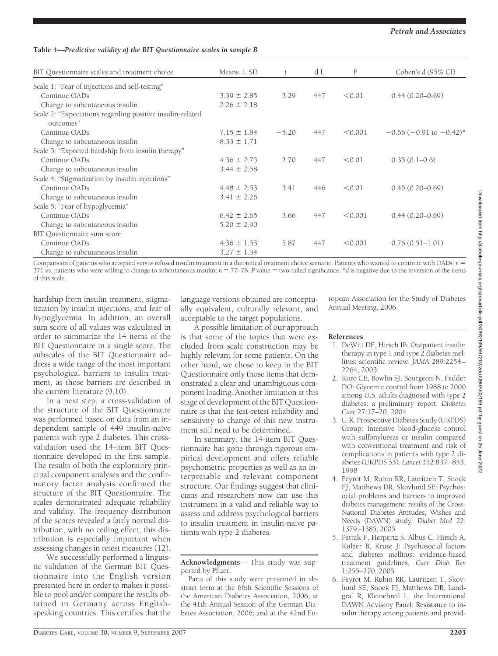tients with type 2 diabetes.

Parts of this study were presented in abstract form at the 66th Scientific Sessions of the American Diabetes Association, 2006; at the 41th Annual Session of the German Diabetes Association, 2006; and at the 42nd Eu-

**Acknowledgments**— This study was sup-

ropean Association for the Study of Diabetes Annual Meeting, 2006.

#### **References**

- 1. DeWitt DE, Hirsch IB: Outpatient insulin therapy in type 1 and type 2 diabetes mellitus: scientific review. *JAMA* 289:2254– 2264, 2003
- 2. Koro CE, Bowlin SJ, Bourgeois N, Fedder DO: Glycemic control from 1988 to 2000 among U.S. adults diagnosed with type 2 diabetes: a preliminary report. *Diabetes Care* 27:17–20, 2004
- 3. U.K. Prospective Diabetes Study (UKPDS) Group: Intensive blood-glucose control with sulfonylureas or insulin compared with conventional treatment and risk of complications in patients with type 2 diabetes (UKPDS 33). *Lancet* 352:837–853, 1998
- 4. Peyrot M, Rubin RR, Lauritzen T, Snoek FJ, Matthews DR, Skovlund SE: Psychosocial problems and barriers to improved diabetes management: results of the Cross-National Diabetes Attitudes, Wishes and Needs (DAWN) study. *Diabet Med* 22: 1379–1385, 2005
- 5. Petrak F, Herpertz S, Albus C, Hirsch A, Kulzer B, Kruse J: Psychosocial factors and diabetes mellitus: evidence-based treatment guidelines. *Curr Diab Rev* 1:255–270, 2005
- 6. Peyrot M, Rubin RR, Lauritzen T, Skovlund SE, Snoek FJ, Matthews DR, Landgraf R, Kleinebreil L, the International DAWN Advisory Panel: Resistance to insulin therapy among patients and provid-

#### **Table 4—***Predictive validity of the BIT Questionnaire scales in sample B*

| BIT Questionnaire scales and treatment choice                          | Means $\pm$ SD  |         | d.f. | $\overline{P}$ | Cohen's $d(95\% \text{ CI})$ |  |  |
|------------------------------------------------------------------------|-----------------|---------|------|----------------|------------------------------|--|--|
| Scale 1: "Fear of injections and self-testing"                         |                 |         |      |                |                              |  |  |
| Continue OADs                                                          | $3.39 \pm 2.85$ | 3.29    | 447  | < 0.01         | $0.44(0.20-0.69)$            |  |  |
| Change to subcutaneous insulin                                         | $2.26 \pm 2.18$ |         |      |                |                              |  |  |
| Scale 2: "Expectations regarding positive insulin-related<br>outcomes" |                 |         |      |                |                              |  |  |
| Continue OADs                                                          | $7.15 \pm 1.84$ | $-5.20$ | 447  | < 0.001        | $-0.66$ (-0.91 to $-0.42$ )* |  |  |
| Change to subcutaneous insulin                                         | $8.33 \pm 1.71$ |         |      |                |                              |  |  |
| Scale 3: "Expected hardship from insulin therapy"                      |                 |         |      |                |                              |  |  |
| Continue OADs                                                          | $4.36 \pm 2.75$ | 2.70    | 447  | < 0.01         | $0.35(0.1-0.6)$              |  |  |
| Change to subcutaneous insulin                                         | $3.44 \pm 2.58$ |         |      |                |                              |  |  |
| Scale 4: "Stigmatization by insulin injections"                        |                 |         |      |                |                              |  |  |
| Continue OADs                                                          | $4.48 \pm 2.53$ | 3.41    | 446  | < 0.01         | $0.45(0.20-0.69)$            |  |  |
| Change to subcutaneous insulin                                         | $3.41 \pm 2.26$ |         |      |                |                              |  |  |
| Scale 5: "Fear of hypoglycemia"                                        |                 |         |      |                |                              |  |  |
| Continue OADs                                                          | $6.42 \pm 2.65$ | 3.66    | 447  | < 0.001        | $0.44(0.20-0.69)$            |  |  |
| Change to subcutaneous insulin                                         | $5.20 \pm 2.90$ |         |      |                |                              |  |  |
| BIT Questionnaire sum score                                            |                 |         |      |                |                              |  |  |
| Continue OADs                                                          | $4.36 \pm 1.53$ | 5.87    | 447  | < 0.001        | $0.76(0.51 - 1.01)$          |  |  |
| Change to subcutaneous insulin                                         | $3.27 \pm 1.34$ |         |      |                |                              |  |  |

Comparision of patients who accepted versus refused insulin treatment in a theoretical treatment choice scenario. Patients who wanted to continue with OADs:  $n =$ 371 vs. patients who were willing to change to subcutaneous insulin:  $n = 77-78$ . P value = two-tailed significance. \*d is negative due to the inversion of the items of this scale.

> language versions obtained are conceptually equivalent, culturally relevant, and acceptable to the target populations.

> A possible limitation of our approach is that some of the topics that were excluded from scale construction may be highly relevant for some patients. On the other hand, we chose to keep in the BIT Questionnaire only those items that demonstrated a clear and unambiguous component loading. Another limitation at this stage of development of the BIT Questionnaire is that the test-retest reliability and sensitivity to change of this new instrument still need to be determined.

> In summary, the 14-item BIT Questionnaire has gone through rigorous empirical development and offers reliable psychometric properties as well as an interpretable and relevant component structure. Our findings suggest that clinicians and researchers now can use this instrument in a valid and reliable way to assess and address psychological barriers to insulin treatment in insulin-naïve pa-

hardship from insulin treatment, stigmatization by insulin injections, and fear of hypoglycemia. In addition, an overall sum score of all values was calculated in order to summarize the 14 items of the BIT Questionnaire in a single score. The subscales of the BIT Questionnaire address a wide range of the most important psychological barriers to insulin treatment, as those barriers are described in the current literature (9,10).

In a next step, a cross-validation of the structure of the BIT Questionnaire was performed based on data from an independent sample of 449 insulin-naïve patients with type 2 diabetes. This crossvalidation used the 14-item BIT Questionnaire developed in the first sample. The results of both the exploratory principal component analyses and the confirmatory factor analysis confirmed the structure of the BIT Questionnaire. The scales demonstrated adequate reliability and validity. The frequency distribution of the scores revealed a fairly normal distribution, with no ceiling effect; this distribution is especially important when assessing changes in retest measures (12).

We successfully performed a linguistic validation of the German BIT Questionnaire into the English version presented here in order to makes it possible to pool and/or compare the results obtained in Germany across Englishspeaking countries. This certifies that the